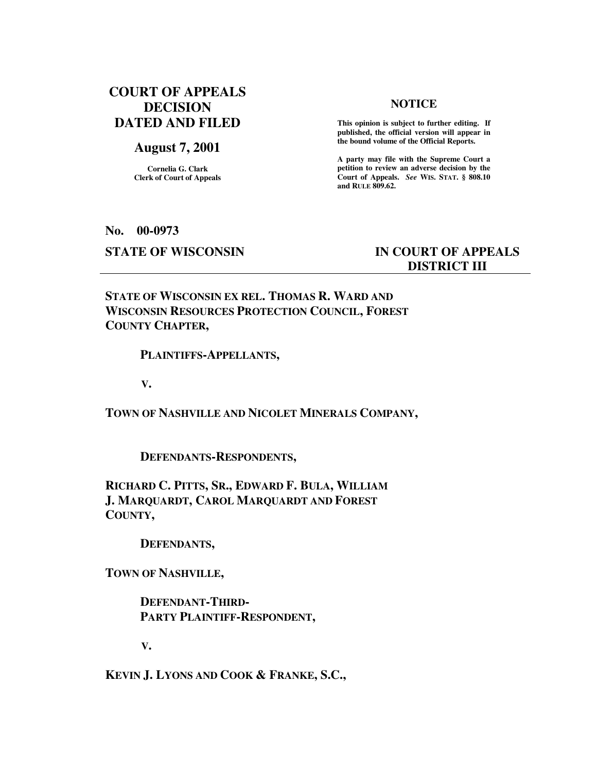# **COURT OF APPEALS DECISION DATED AND FILED**

# **August 7, 2001**

**Cornelia G. Clark Clerk of Court of Appeals**

## **NOTICE**

 **This opinion is subject to further editing. If published, the official version will appear in the bound volume of the Official Reports.** 

**A party may file with the Supreme Court a petition to review an adverse decision by the Court of Appeals.** *See* **WIS. STAT. § 808.10 and RULE 809.62.** 

#### **No. 00-0973**

# **STATE OF WISCONSIN IN COURT OF APPEALS DISTRICT III**

**STATE OF WISCONSIN EX REL. THOMAS R. WARD AND WISCONSIN RESOURCES PROTECTION COUNCIL, FOREST COUNTY CHAPTER,** 

# **PLAINTIFFS-APPELLANTS,**

 **V.** 

**TOWN OF NASHVILLE AND NICOLET MINERALS COMPANY,** 

 **DEFENDANTS-RESPONDENTS,** 

**RICHARD C. PITTS, SR., EDWARD F. BULA, WILLIAM J. MARQUARDT, CAROL MARQUARDT AND FOREST COUNTY,** 

 **DEFENDANTS,** 

**TOWN OF NASHVILLE,** 

 **DEFENDANT-THIRD- PARTY PLAINTIFF-RESPONDENT,** 

 **V.** 

**KEVIN J. LYONS AND COOK & FRANKE, S.C.,**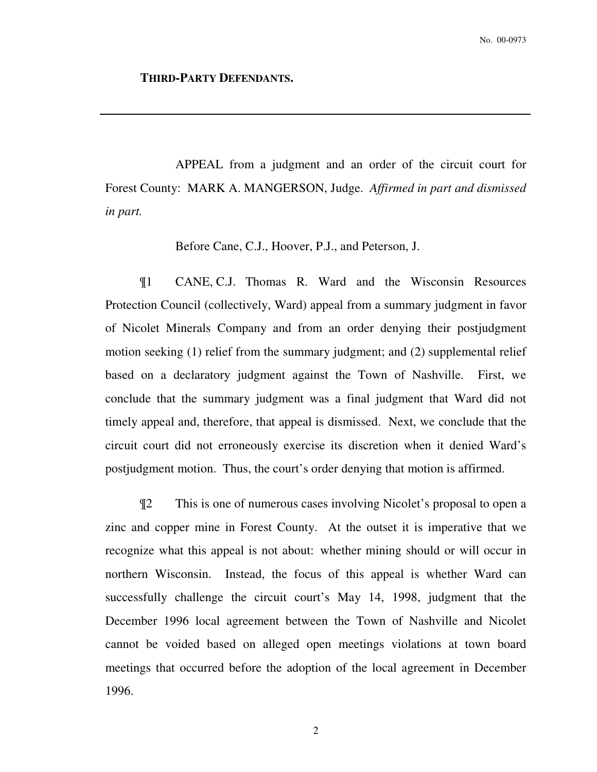# **THIRD-PARTY DEFENDANTS.**

 APPEAL from a judgment and an order of the circuit court for Forest County: MARK A. MANGERSON, Judge. *Affirmed in part and dismissed in part.* 

Before Cane, C.J., Hoover, P.J., and Peterson, J.

¶1 CANE, C.J. Thomas R. Ward and the Wisconsin Resources Protection Council (collectively, Ward) appeal from a summary judgment in favor of Nicolet Minerals Company and from an order denying their postjudgment motion seeking (1) relief from the summary judgment; and (2) supplemental relief based on a declaratory judgment against the Town of Nashville. First, we conclude that the summary judgment was a final judgment that Ward did not timely appeal and, therefore, that appeal is dismissed. Next, we conclude that the circuit court did not erroneously exercise its discretion when it denied Ward's postjudgment motion. Thus, the court's order denying that motion is affirmed.

¶2 This is one of numerous cases involving Nicolet's proposal to open a zinc and copper mine in Forest County. At the outset it is imperative that we recognize what this appeal is not about: whether mining should or will occur in northern Wisconsin. Instead, the focus of this appeal is whether Ward can successfully challenge the circuit court's May 14, 1998, judgment that the December 1996 local agreement between the Town of Nashville and Nicolet cannot be voided based on alleged open meetings violations at town board meetings that occurred before the adoption of the local agreement in December 1996.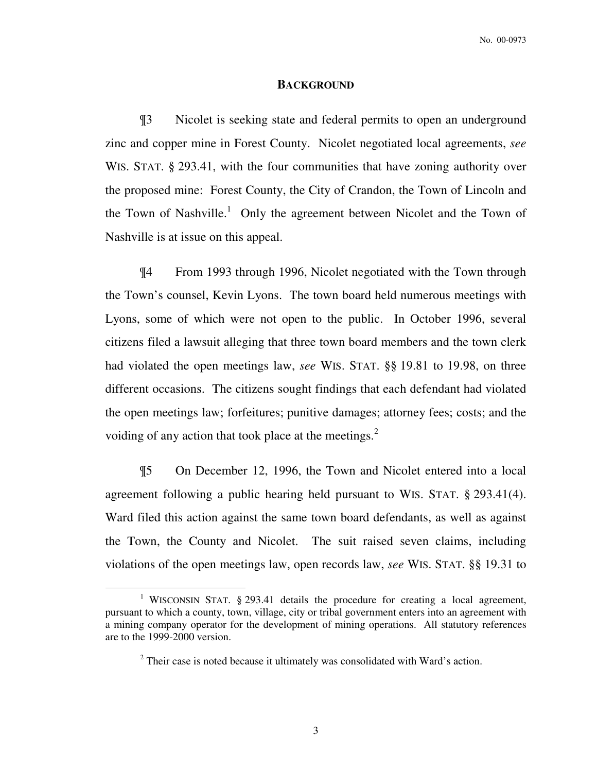#### **BACKGROUND**

¶3 Nicolet is seeking state and federal permits to open an underground zinc and copper mine in Forest County. Nicolet negotiated local agreements, *see* WIS. STAT. § 293.41, with the four communities that have zoning authority over the proposed mine: Forest County, the City of Crandon, the Town of Lincoln and the Town of Nashville.<sup>1</sup> Only the agreement between Nicolet and the Town of Nashville is at issue on this appeal.

¶4 From 1993 through 1996, Nicolet negotiated with the Town through the Town's counsel, Kevin Lyons. The town board held numerous meetings with Lyons, some of which were not open to the public. In October 1996, several citizens filed a lawsuit alleging that three town board members and the town clerk had violated the open meetings law, *see* WIS. STAT. §§ 19.81 to 19.98, on three different occasions. The citizens sought findings that each defendant had violated the open meetings law; forfeitures; punitive damages; attorney fees; costs; and the voiding of any action that took place at the meetings. $<sup>2</sup>$ </sup>

¶5 On December 12, 1996, the Town and Nicolet entered into a local agreement following a public hearing held pursuant to WIS. STAT. § 293.41(4). Ward filed this action against the same town board defendants, as well as against the Town, the County and Nicolet. The suit raised seven claims, including violations of the open meetings law, open records law, *see* WIS. STAT. §§ 19.31 to

<sup>&</sup>lt;sup>1</sup> WISCONSIN STAT. § 293.41 details the procedure for creating a local agreement, pursuant to which a county, town, village, city or tribal government enters into an agreement with a mining company operator for the development of mining operations. All statutory references are to the 1999-2000 version.

 $2$  Their case is noted because it ultimately was consolidated with Ward's action.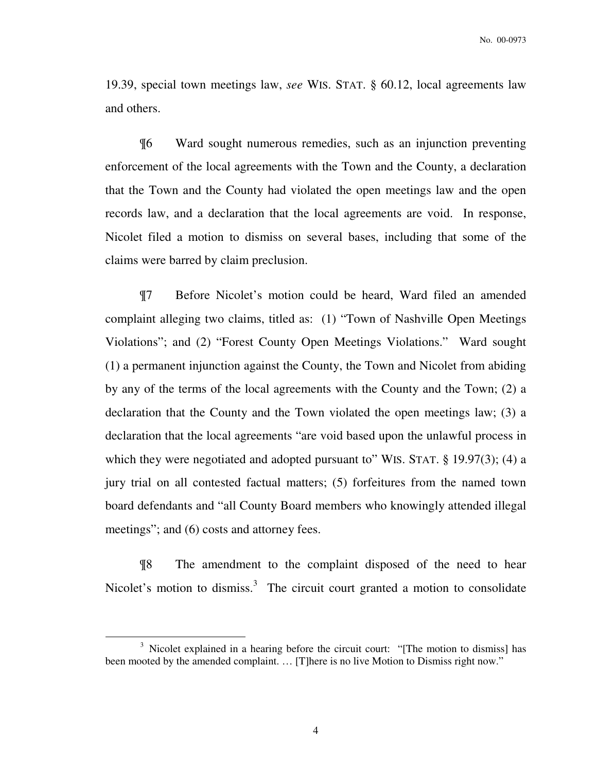19.39, special town meetings law, *see* WIS. STAT. § 60.12, local agreements law and others.

¶6 Ward sought numerous remedies, such as an injunction preventing enforcement of the local agreements with the Town and the County, a declaration that the Town and the County had violated the open meetings law and the open records law, and a declaration that the local agreements are void. In response, Nicolet filed a motion to dismiss on several bases, including that some of the claims were barred by claim preclusion.

¶7 Before Nicolet's motion could be heard, Ward filed an amended complaint alleging two claims, titled as: (1) "Town of Nashville Open Meetings Violations"; and (2) "Forest County Open Meetings Violations." Ward sought (1) a permanent injunction against the County, the Town and Nicolet from abiding by any of the terms of the local agreements with the County and the Town; (2) a declaration that the County and the Town violated the open meetings law; (3) a declaration that the local agreements "are void based upon the unlawful process in which they were negotiated and adopted pursuant to" WIS. STAT. § 19.97(3); (4) a jury trial on all contested factual matters; (5) forfeitures from the named town board defendants and "all County Board members who knowingly attended illegal meetings"; and (6) costs and attorney fees.

¶8 The amendment to the complaint disposed of the need to hear Nicolet's motion to dismiss.<sup>3</sup> The circuit court granted a motion to consolidate

<sup>&</sup>lt;sup>3</sup> Nicolet explained in a hearing before the circuit court: "[The motion to dismiss] has been mooted by the amended complaint. ... [T]here is no live Motion to Dismiss right now."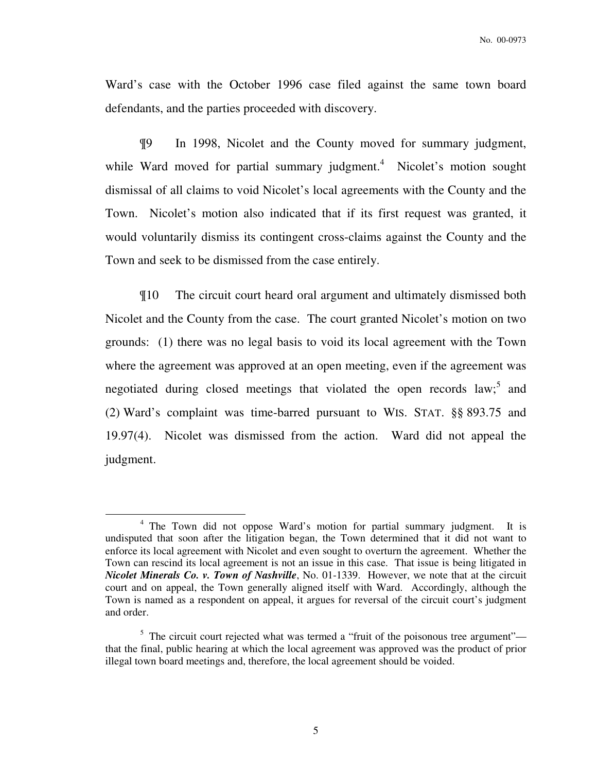Ward's case with the October 1996 case filed against the same town board defendants, and the parties proceeded with discovery.

¶9 In 1998, Nicolet and the County moved for summary judgment, while Ward moved for partial summary judgment.<sup>4</sup> Nicolet's motion sought dismissal of all claims to void Nicolet's local agreements with the County and the Town. Nicolet's motion also indicated that if its first request was granted, it would voluntarily dismiss its contingent cross-claims against the County and the Town and seek to be dismissed from the case entirely.

¶10 The circuit court heard oral argument and ultimately dismissed both Nicolet and the County from the case. The court granted Nicolet's motion on two grounds: (1) there was no legal basis to void its local agreement with the Town where the agreement was approved at an open meeting, even if the agreement was negotiated during closed meetings that violated the open records law;<sup>5</sup> and (2) Ward's complaint was time-barred pursuant to WIS. STAT. §§ 893.75 and 19.97(4). Nicolet was dismissed from the action. Ward did not appeal the judgment.

<sup>&</sup>lt;sup>4</sup> The Town did not oppose Ward's motion for partial summary judgment. It is undisputed that soon after the litigation began, the Town determined that it did not want to enforce its local agreement with Nicolet and even sought to overturn the agreement. Whether the Town can rescind its local agreement is not an issue in this case. That issue is being litigated in *Nicolet Minerals Co. v. Town of Nashville*, No. 01-1339. However, we note that at the circuit court and on appeal, the Town generally aligned itself with Ward. Accordingly, although the Town is named as a respondent on appeal, it argues for reversal of the circuit court's judgment and order.

 $<sup>5</sup>$  The circuit court rejected what was termed a "fruit of the poisonous tree argument"—</sup> that the final, public hearing at which the local agreement was approved was the product of prior illegal town board meetings and, therefore, the local agreement should be voided.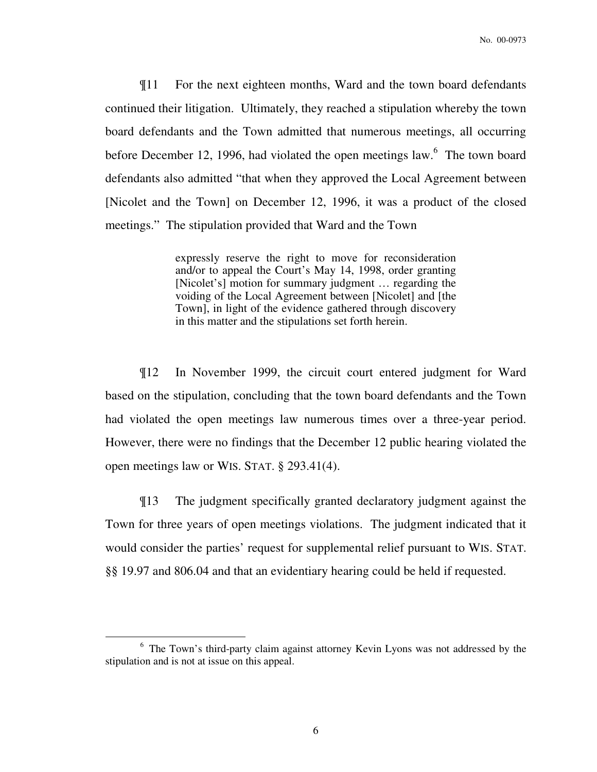¶11 For the next eighteen months, Ward and the town board defendants continued their litigation. Ultimately, they reached a stipulation whereby the town board defendants and the Town admitted that numerous meetings, all occurring before December 12, 1996, had violated the open meetings law.<sup>6</sup> The town board defendants also admitted "that when they approved the Local Agreement between [Nicolet and the Town] on December 12, 1996, it was a product of the closed meetings." The stipulation provided that Ward and the Town

> expressly reserve the right to move for reconsideration and/or to appeal the Court's May 14, 1998, order granting [Nicolet's] motion for summary judgment … regarding the voiding of the Local Agreement between [Nicolet] and [the Town], in light of the evidence gathered through discovery in this matter and the stipulations set forth herein.

¶12 In November 1999, the circuit court entered judgment for Ward based on the stipulation, concluding that the town board defendants and the Town had violated the open meetings law numerous times over a three-year period. However, there were no findings that the December 12 public hearing violated the open meetings law or WIS. STAT. § 293.41(4).

¶13 The judgment specifically granted declaratory judgment against the Town for three years of open meetings violations. The judgment indicated that it would consider the parties' request for supplemental relief pursuant to WIS. STAT. §§ 19.97 and 806.04 and that an evidentiary hearing could be held if requested.

<sup>&</sup>lt;sup>6</sup> The Town's third-party claim against attorney Kevin Lyons was not addressed by the stipulation and is not at issue on this appeal.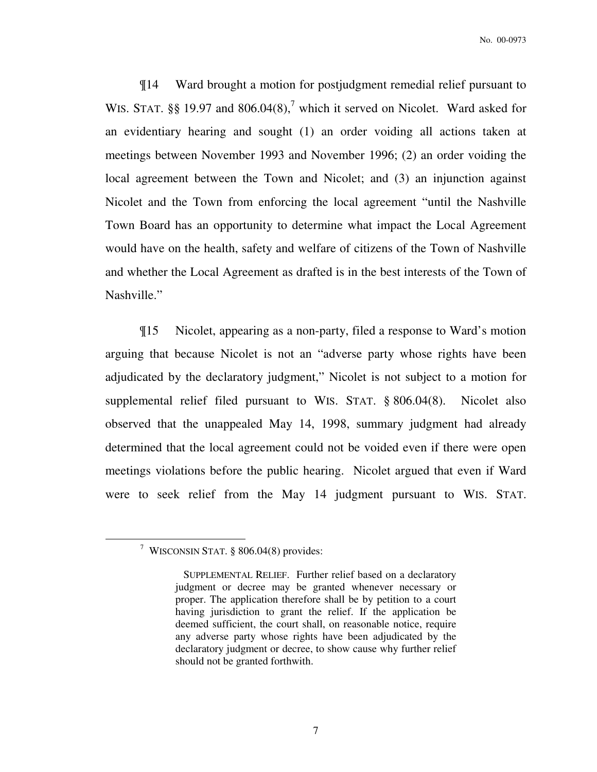¶14 Ward brought a motion for postjudgment remedial relief pursuant to WIS. STAT. §§ 19.97 and  $806.04(8)$ ,<sup>7</sup> which it served on Nicolet. Ward asked for an evidentiary hearing and sought (1) an order voiding all actions taken at meetings between November 1993 and November 1996; (2) an order voiding the local agreement between the Town and Nicolet; and (3) an injunction against Nicolet and the Town from enforcing the local agreement "until the Nashville Town Board has an opportunity to determine what impact the Local Agreement would have on the health, safety and welfare of citizens of the Town of Nashville and whether the Local Agreement as drafted is in the best interests of the Town of Nashville."

¶15 Nicolet, appearing as a non-party, filed a response to Ward's motion arguing that because Nicolet is not an "adverse party whose rights have been adjudicated by the declaratory judgment," Nicolet is not subject to a motion for supplemental relief filed pursuant to WIS. STAT. § 806.04(8). Nicolet also observed that the unappealed May 14, 1998, summary judgment had already determined that the local agreement could not be voided even if there were open meetings violations before the public hearing. Nicolet argued that even if Ward were to seek relief from the May 14 judgment pursuant to WIS. STAT.

<sup>7</sup> WISCONSIN STAT. § 806.04(8) provides:

SUPPLEMENTAL RELIEF. Further relief based on a declaratory judgment or decree may be granted whenever necessary or proper. The application therefore shall be by petition to a court having jurisdiction to grant the relief. If the application be deemed sufficient, the court shall, on reasonable notice, require any adverse party whose rights have been adjudicated by the declaratory judgment or decree, to show cause why further relief should not be granted forthwith.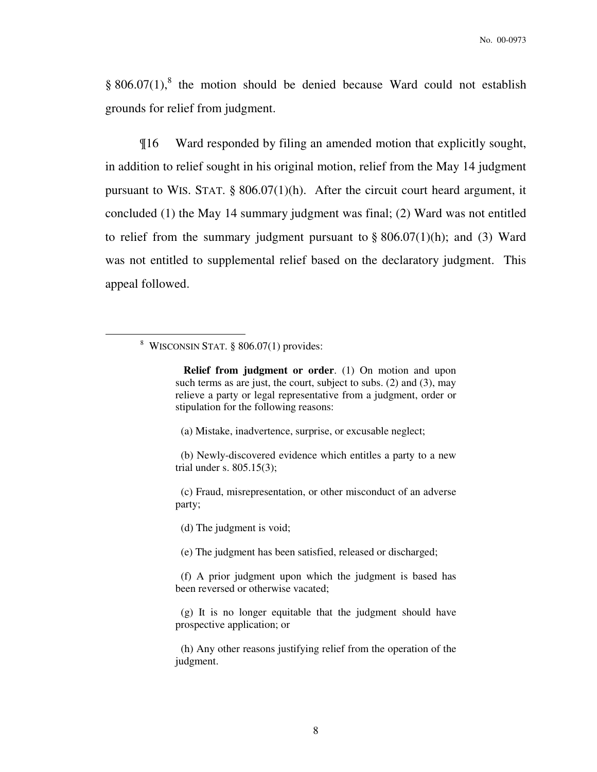§  $806.07(1)$ ,<sup>8</sup> the motion should be denied because Ward could not establish grounds for relief from judgment.

¶16 Ward responded by filing an amended motion that explicitly sought, in addition to relief sought in his original motion, relief from the May 14 judgment pursuant to WIS. STAT. § 806.07(1)(h). After the circuit court heard argument, it concluded (1) the May 14 summary judgment was final; (2) Ward was not entitled to relief from the summary judgment pursuant to  $\S 806.07(1)(h)$ ; and (3) Ward was not entitled to supplemental relief based on the declaratory judgment. This appeal followed.

 $\overline{a}$ 

(a) Mistake, inadvertence, surprise, or excusable neglect;

 (c) Fraud, misrepresentation, or other misconduct of an adverse party;

(d) The judgment is void;

(e) The judgment has been satisfied, released or discharged;

 (f) A prior judgment upon which the judgment is based has been reversed or otherwise vacated;

 (g) It is no longer equitable that the judgment should have prospective application; or

 (h) Any other reasons justifying relief from the operation of the judgment.

<sup>8</sup> WISCONSIN STAT. § 806.07(1) provides:

**Relief from judgment or order**. (1) On motion and upon such terms as are just, the court, subject to subs. (2) and (3), may relieve a party or legal representative from a judgment, order or stipulation for the following reasons:

 <sup>(</sup>b) Newly-discovered evidence which entitles a party to a new trial under s. 805.15(3);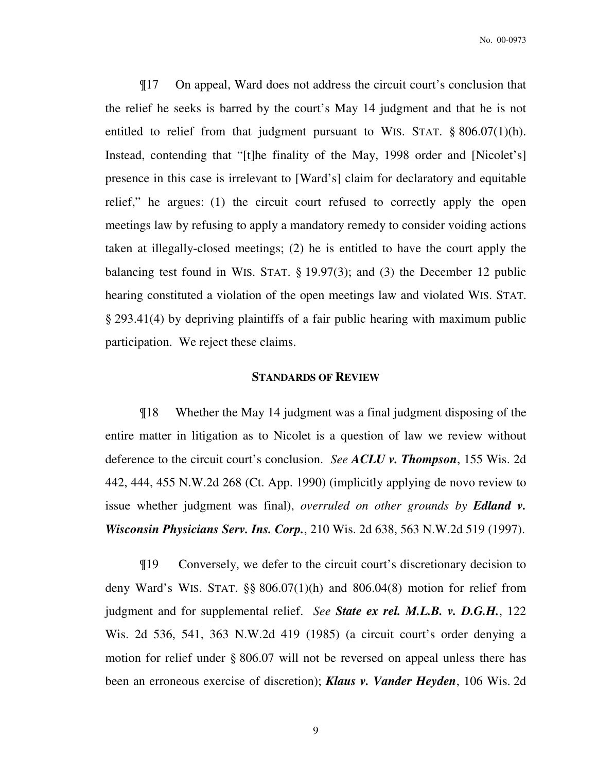¶17 On appeal, Ward does not address the circuit court's conclusion that the relief he seeks is barred by the court's May 14 judgment and that he is not entitled to relief from that judgment pursuant to WIS. STAT.  $\S 806.07(1)(h)$ . Instead, contending that "[t]he finality of the May, 1998 order and [Nicolet's] presence in this case is irrelevant to [Ward's] claim for declaratory and equitable relief," he argues: (1) the circuit court refused to correctly apply the open meetings law by refusing to apply a mandatory remedy to consider voiding actions taken at illegally-closed meetings; (2) he is entitled to have the court apply the balancing test found in WIS. STAT. § 19.97(3); and (3) the December 12 public hearing constituted a violation of the open meetings law and violated WIS. STAT. § 293.41(4) by depriving plaintiffs of a fair public hearing with maximum public participation. We reject these claims.

# **STANDARDS OF REVIEW**

¶18 Whether the May 14 judgment was a final judgment disposing of the entire matter in litigation as to Nicolet is a question of law we review without deference to the circuit court's conclusion. *See ACLU v. Thompson*, 155 Wis. 2d 442, 444, 455 N.W.2d 268 (Ct. App. 1990) (implicitly applying de novo review to issue whether judgment was final), *overruled on other grounds by Edland v. Wisconsin Physicians Serv. Ins. Corp.*, 210 Wis. 2d 638, 563 N.W.2d 519 (1997).

¶19 Conversely, we defer to the circuit court's discretionary decision to deny Ward's WIS. STAT.  $\S$ § 806.07(1)(h) and 806.04(8) motion for relief from judgment and for supplemental relief. *See State ex rel. M.L.B. v. D.G.H.*, 122 Wis. 2d 536, 541, 363 N.W.2d 419 (1985) (a circuit court's order denying a motion for relief under § 806.07 will not be reversed on appeal unless there has been an erroneous exercise of discretion); *Klaus v. Vander Heyden*, 106 Wis. 2d

9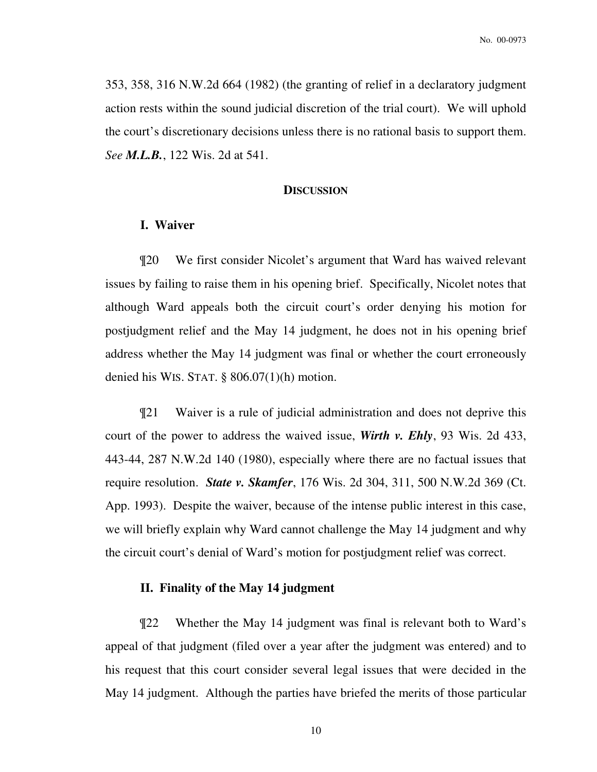353, 358, 316 N.W.2d 664 (1982) (the granting of relief in a declaratory judgment action rests within the sound judicial discretion of the trial court). We will uphold the court's discretionary decisions unless there is no rational basis to support them. *See M.L.B.*, 122 Wis. 2d at 541.

#### **DISCUSSION**

# **I. Waiver**

¶20 We first consider Nicolet's argument that Ward has waived relevant issues by failing to raise them in his opening brief. Specifically, Nicolet notes that although Ward appeals both the circuit court's order denying his motion for postjudgment relief and the May 14 judgment, he does not in his opening brief address whether the May 14 judgment was final or whether the court erroneously denied his WIS. STAT. § 806.07(1)(h) motion.

¶21 Waiver is a rule of judicial administration and does not deprive this court of the power to address the waived issue, *Wirth v. Ehly*, 93 Wis. 2d 433, 443-44, 287 N.W.2d 140 (1980), especially where there are no factual issues that require resolution. *State v. Skamfer*, 176 Wis. 2d 304, 311, 500 N.W.2d 369 (Ct. App. 1993). Despite the waiver, because of the intense public interest in this case, we will briefly explain why Ward cannot challenge the May 14 judgment and why the circuit court's denial of Ward's motion for postjudgment relief was correct.

# **II. Finality of the May 14 judgment**

¶22 Whether the May 14 judgment was final is relevant both to Ward's appeal of that judgment (filed over a year after the judgment was entered) and to his request that this court consider several legal issues that were decided in the May 14 judgment. Although the parties have briefed the merits of those particular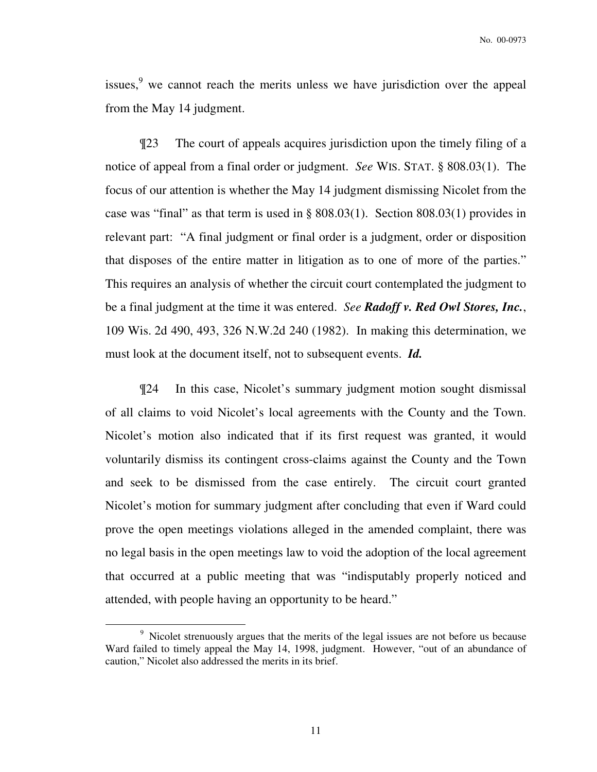issues, $9$  we cannot reach the merits unless we have jurisdiction over the appeal from the May 14 judgment.

¶23 The court of appeals acquires jurisdiction upon the timely filing of a notice of appeal from a final order or judgment. *See* WIS. STAT. § 808.03(1). The focus of our attention is whether the May 14 judgment dismissing Nicolet from the case was "final" as that term is used in  $\S 808.03(1)$ . Section  $808.03(1)$  provides in relevant part: "A final judgment or final order is a judgment, order or disposition that disposes of the entire matter in litigation as to one of more of the parties." This requires an analysis of whether the circuit court contemplated the judgment to be a final judgment at the time it was entered. *See Radoff v. Red Owl Stores, Inc.*, 109 Wis. 2d 490, 493, 326 N.W.2d 240 (1982). In making this determination, we must look at the document itself, not to subsequent events. *Id.*

¶24 In this case, Nicolet's summary judgment motion sought dismissal of all claims to void Nicolet's local agreements with the County and the Town. Nicolet's motion also indicated that if its first request was granted, it would voluntarily dismiss its contingent cross-claims against the County and the Town and seek to be dismissed from the case entirely. The circuit court granted Nicolet's motion for summary judgment after concluding that even if Ward could prove the open meetings violations alleged in the amended complaint, there was no legal basis in the open meetings law to void the adoption of the local agreement that occurred at a public meeting that was "indisputably properly noticed and attended, with people having an opportunity to be heard."

<sup>&</sup>lt;sup>9</sup> Nicolet strenuously argues that the merits of the legal issues are not before us because Ward failed to timely appeal the May 14, 1998, judgment. However, "out of an abundance of caution," Nicolet also addressed the merits in its brief.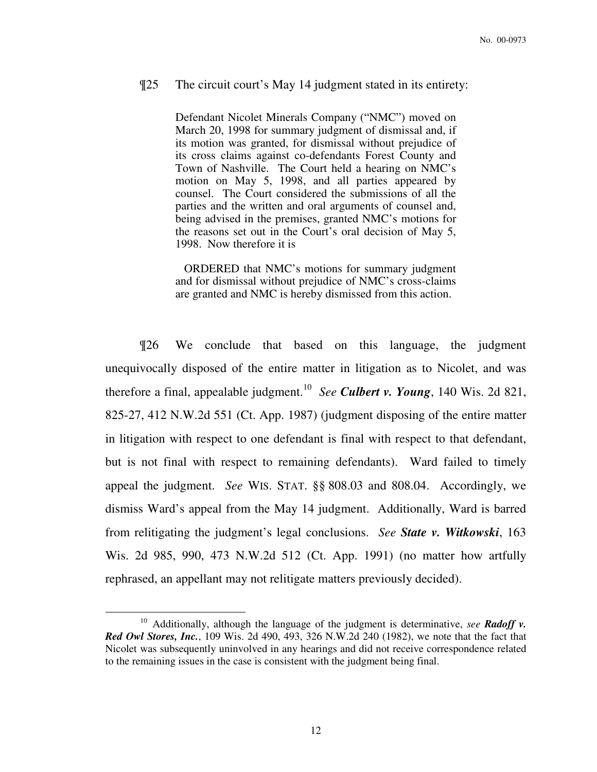# ¶25 The circuit court's May 14 judgment stated in its entirety:

Defendant Nicolet Minerals Company ("NMC") moved on March 20, 1998 for summary judgment of dismissal and, if its motion was granted, for dismissal without prejudice of its cross claims against co-defendants Forest County and Town of Nashville. The Court held a hearing on NMC's motion on May 5, 1998, and all parties appeared by counsel. The Court considered the submissions of all the parties and the written and oral arguments of counsel and, being advised in the premises, granted NMC's motions for the reasons set out in the Court's oral decision of May 5, 1998. Now therefore it is

 ORDERED that NMC's motions for summary judgment and for dismissal without prejudice of NMC's cross-claims are granted and NMC is hereby dismissed from this action.

¶26 We conclude that based on this language, the judgment unequivocally disposed of the entire matter in litigation as to Nicolet, and was therefore a final, appealable judgment.<sup>10</sup> See Culbert v. Young, 140 Wis. 2d 821, 825-27, 412 N.W.2d 551 (Ct. App. 1987) (judgment disposing of the entire matter in litigation with respect to one defendant is final with respect to that defendant, but is not final with respect to remaining defendants). Ward failed to timely appeal the judgment. *See* WIS. STAT. §§ 808.03 and 808.04. Accordingly, we dismiss Ward's appeal from the May 14 judgment. Additionally, Ward is barred from relitigating the judgment's legal conclusions. *See State v. Witkowski*, 163 Wis. 2d 985, 990, 473 N.W.2d 512 (Ct. App. 1991) (no matter how artfully rephrased, an appellant may not relitigate matters previously decided).

<sup>10</sup> Additionally, although the language of the judgment is determinative, *see Radoff v. Red Owl Stores, Inc.*, 109 Wis. 2d 490, 493, 326 N.W.2d 240 (1982), we note that the fact that Nicolet was subsequently uninvolved in any hearings and did not receive correspondence related to the remaining issues in the case is consistent with the judgment being final.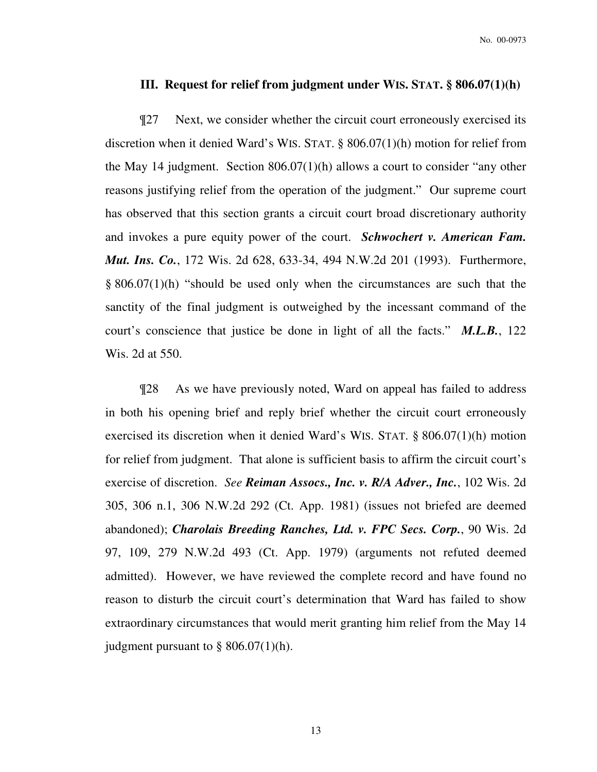# **III. Request for relief from judgment under WIS. STAT. § 806.07(1)(h)**

¶27 Next, we consider whether the circuit court erroneously exercised its discretion when it denied Ward's WIS. STAT. § 806.07(1)(h) motion for relief from the May 14 judgment. Section 806.07(1)(h) allows a court to consider "any other reasons justifying relief from the operation of the judgment." Our supreme court has observed that this section grants a circuit court broad discretionary authority and invokes a pure equity power of the court. *Schwochert v. American Fam. Mut. Ins. Co.*, 172 Wis. 2d 628, 633-34, 494 N.W.2d 201 (1993). Furthermore, § 806.07(1)(h) "should be used only when the circumstances are such that the sanctity of the final judgment is outweighed by the incessant command of the court's conscience that justice be done in light of all the facts." *M.L.B.*, 122 Wis. 2d at 550.

¶28 As we have previously noted, Ward on appeal has failed to address in both his opening brief and reply brief whether the circuit court erroneously exercised its discretion when it denied Ward's WIS. STAT. § 806.07(1)(h) motion for relief from judgment. That alone is sufficient basis to affirm the circuit court's exercise of discretion. *See Reiman Assocs., Inc. v. R/A Adver., Inc.*, 102 Wis. 2d 305, 306 n.1, 306 N.W.2d 292 (Ct. App. 1981) (issues not briefed are deemed abandoned); *Charolais Breeding Ranches, Ltd. v. FPC Secs. Corp.*, 90 Wis. 2d 97, 109, 279 N.W.2d 493 (Ct. App. 1979) (arguments not refuted deemed admitted). However, we have reviewed the complete record and have found no reason to disturb the circuit court's determination that Ward has failed to show extraordinary circumstances that would merit granting him relief from the May 14 judgment pursuant to  $\S 806.07(1)(h)$ .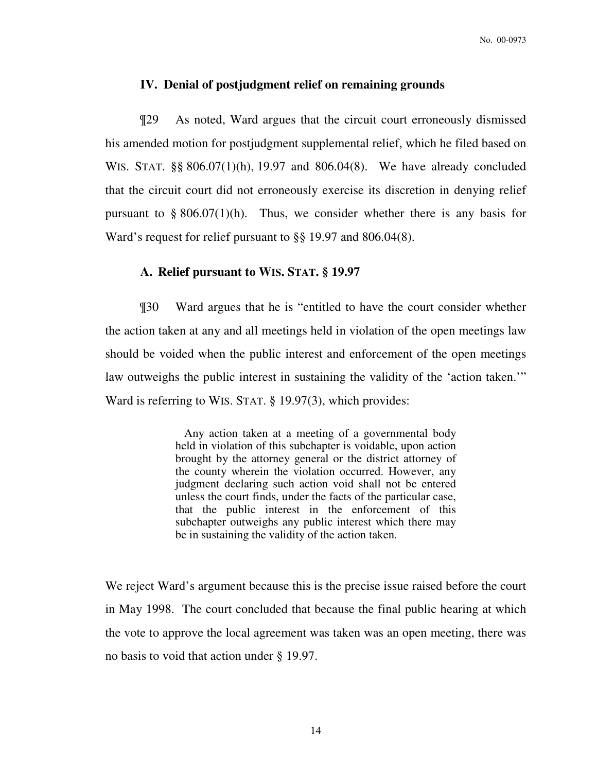### **IV. Denial of postjudgment relief on remaining grounds**

¶29 As noted, Ward argues that the circuit court erroneously dismissed his amended motion for postjudgment supplemental relief, which he filed based on WIS. STAT. §§ 806.07(1)(h), 19.97 and 806.04(8). We have already concluded that the circuit court did not erroneously exercise its discretion in denying relief pursuant to  $\S 806.07(1)$ (h). Thus, we consider whether there is any basis for Ward's request for relief pursuant to §§ 19.97 and 806.04(8).

# **A. Relief pursuant to WIS. STAT. § 19.97**

¶30 Ward argues that he is "entitled to have the court consider whether the action taken at any and all meetings held in violation of the open meetings law should be voided when the public interest and enforcement of the open meetings law outweighs the public interest in sustaining the validity of the 'action taken.'" Ward is referring to WIS. STAT. § 19.97(3), which provides:

> Any action taken at a meeting of a governmental body held in violation of this subchapter is voidable, upon action brought by the attorney general or the district attorney of the county wherein the violation occurred. However, any judgment declaring such action void shall not be entered unless the court finds, under the facts of the particular case, that the public interest in the enforcement of this subchapter outweighs any public interest which there may be in sustaining the validity of the action taken.

We reject Ward's argument because this is the precise issue raised before the court in May 1998. The court concluded that because the final public hearing at which the vote to approve the local agreement was taken was an open meeting, there was no basis to void that action under § 19.97.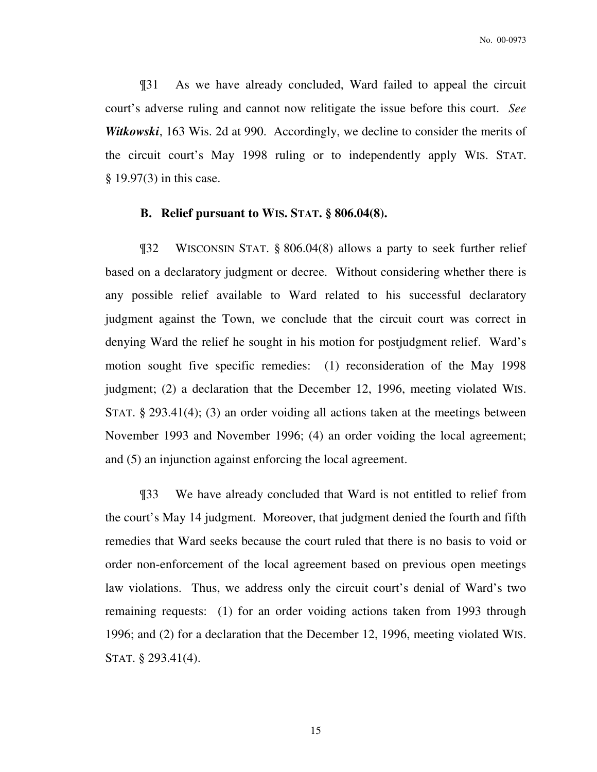¶31 As we have already concluded, Ward failed to appeal the circuit court's adverse ruling and cannot now relitigate the issue before this court. *See Witkowski*, 163 Wis. 2d at 990. Accordingly, we decline to consider the merits of the circuit court's May 1998 ruling or to independently apply WIS. STAT. § 19.97(3) in this case.

#### **B. Relief pursuant to WIS. STAT. § 806.04(8).**

¶32 WISCONSIN STAT. § 806.04(8) allows a party to seek further relief based on a declaratory judgment or decree. Without considering whether there is any possible relief available to Ward related to his successful declaratory judgment against the Town, we conclude that the circuit court was correct in denying Ward the relief he sought in his motion for postjudgment relief. Ward's motion sought five specific remedies: (1) reconsideration of the May 1998 judgment; (2) a declaration that the December 12, 1996, meeting violated WIS. STAT. § 293.41(4); (3) an order voiding all actions taken at the meetings between November 1993 and November 1996; (4) an order voiding the local agreement; and (5) an injunction against enforcing the local agreement.

¶33 We have already concluded that Ward is not entitled to relief from the court's May 14 judgment. Moreover, that judgment denied the fourth and fifth remedies that Ward seeks because the court ruled that there is no basis to void or order non-enforcement of the local agreement based on previous open meetings law violations. Thus, we address only the circuit court's denial of Ward's two remaining requests: (1) for an order voiding actions taken from 1993 through 1996; and (2) for a declaration that the December 12, 1996, meeting violated WIS. STAT. § 293.41(4).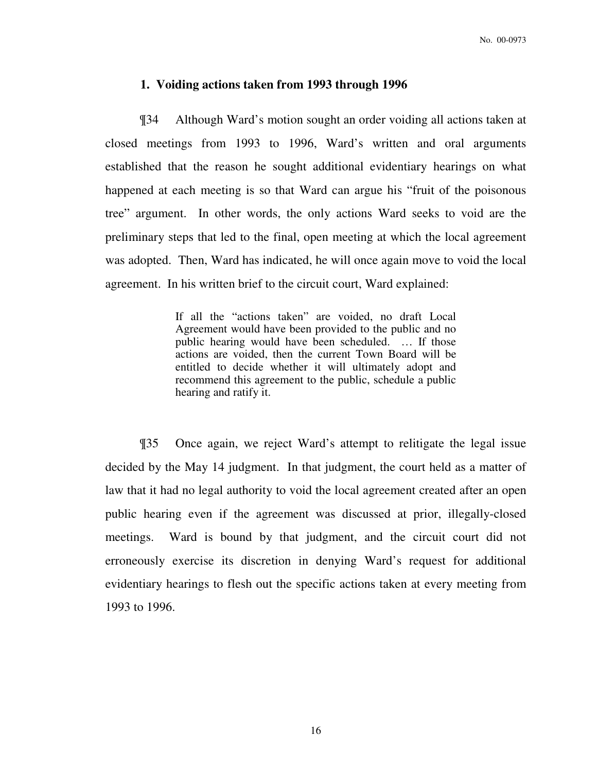#### **1. Voiding actions taken from 1993 through 1996**

¶34 Although Ward's motion sought an order voiding all actions taken at closed meetings from 1993 to 1996, Ward's written and oral arguments established that the reason he sought additional evidentiary hearings on what happened at each meeting is so that Ward can argue his "fruit of the poisonous tree" argument. In other words, the only actions Ward seeks to void are the preliminary steps that led to the final, open meeting at which the local agreement was adopted. Then, Ward has indicated, he will once again move to void the local agreement. In his written brief to the circuit court, Ward explained:

> If all the "actions taken" are voided, no draft Local Agreement would have been provided to the public and no public hearing would have been scheduled. … If those actions are voided, then the current Town Board will be entitled to decide whether it will ultimately adopt and recommend this agreement to the public, schedule a public hearing and ratify it.

¶35 Once again, we reject Ward's attempt to relitigate the legal issue decided by the May 14 judgment. In that judgment, the court held as a matter of law that it had no legal authority to void the local agreement created after an open public hearing even if the agreement was discussed at prior, illegally-closed meetings. Ward is bound by that judgment, and the circuit court did not erroneously exercise its discretion in denying Ward's request for additional evidentiary hearings to flesh out the specific actions taken at every meeting from 1993 to 1996.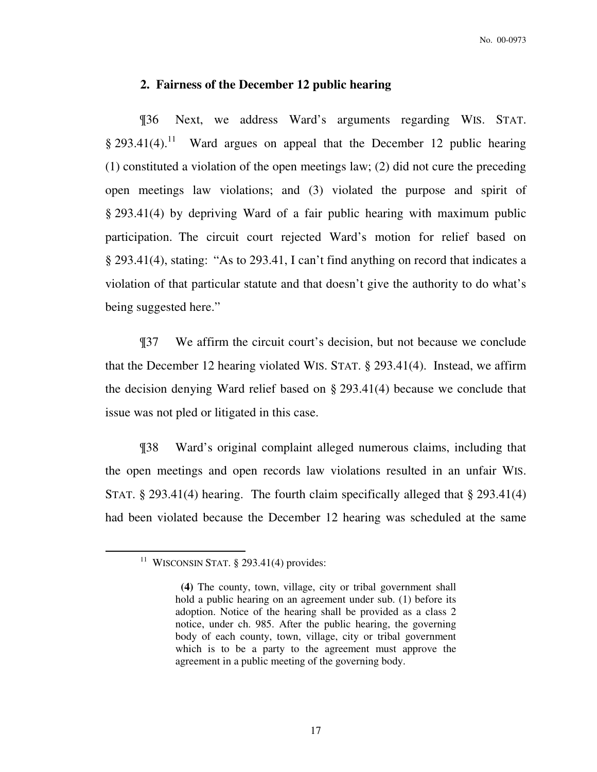#### **2. Fairness of the December 12 public hearing**

¶36 Next, we address Ward's arguments regarding WIS. STAT.  $§$  293.41(4).<sup>11</sup> Ward argues on appeal that the December 12 public hearing (1) constituted a violation of the open meetings law; (2) did not cure the preceding open meetings law violations; and (3) violated the purpose and spirit of § 293.41(4) by depriving Ward of a fair public hearing with maximum public participation. The circuit court rejected Ward's motion for relief based on § 293.41(4), stating: "As to 293.41, I can't find anything on record that indicates a violation of that particular statute and that doesn't give the authority to do what's being suggested here."

¶37 We affirm the circuit court's decision, but not because we conclude that the December 12 hearing violated WIS. STAT. § 293.41(4). Instead, we affirm the decision denying Ward relief based on § 293.41(4) because we conclude that issue was not pled or litigated in this case.

¶38 Ward's original complaint alleged numerous claims, including that the open meetings and open records law violations resulted in an unfair WIS. STAT. § 293.41(4) hearing. The fourth claim specifically alleged that § 293.41(4) had been violated because the December 12 hearing was scheduled at the same

<sup>&</sup>lt;sup>11</sup> WISCONSIN STAT. § 293.41(4) provides:

**(4)** The county, town, village, city or tribal government shall hold a public hearing on an agreement under sub. (1) before its adoption. Notice of the hearing shall be provided as a class 2 notice, under ch. 985. After the public hearing, the governing body of each county, town, village, city or tribal government which is to be a party to the agreement must approve the agreement in a public meeting of the governing body.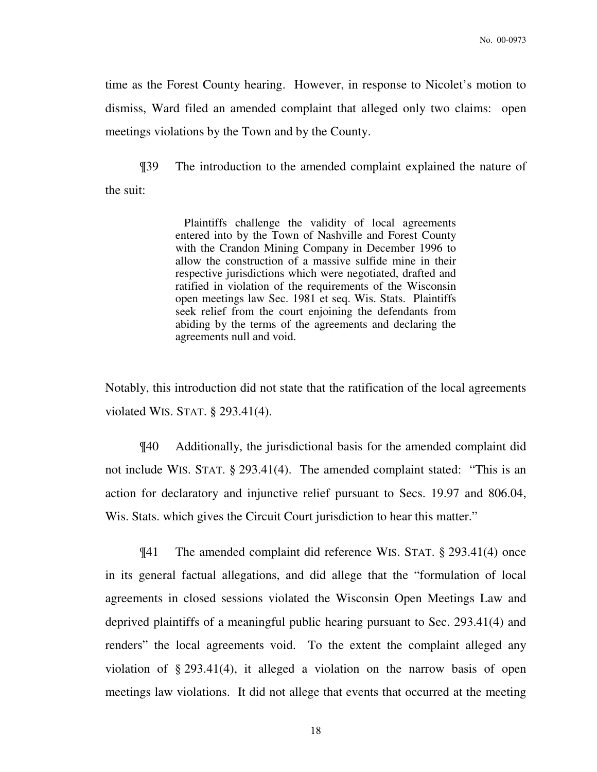time as the Forest County hearing. However, in response to Nicolet's motion to dismiss, Ward filed an amended complaint that alleged only two claims: open meetings violations by the Town and by the County.

¶39 The introduction to the amended complaint explained the nature of the suit:

> Plaintiffs challenge the validity of local agreements entered into by the Town of Nashville and Forest County with the Crandon Mining Company in December 1996 to allow the construction of a massive sulfide mine in their respective jurisdictions which were negotiated, drafted and ratified in violation of the requirements of the Wisconsin open meetings law Sec. 1981 et seq. Wis. Stats. Plaintiffs seek relief from the court enjoining the defendants from abiding by the terms of the agreements and declaring the agreements null and void.

Notably, this introduction did not state that the ratification of the local agreements violated WIS. STAT. § 293.41(4).

 ¶40 Additionally, the jurisdictional basis for the amended complaint did not include WIS. STAT. § 293.41(4). The amended complaint stated: "This is an action for declaratory and injunctive relief pursuant to Secs. 19.97 and 806.04, Wis. Stats. which gives the Circuit Court jurisdiction to hear this matter."

¶41 The amended complaint did reference WIS. STAT. § 293.41(4) once in its general factual allegations, and did allege that the "formulation of local agreements in closed sessions violated the Wisconsin Open Meetings Law and deprived plaintiffs of a meaningful public hearing pursuant to Sec. 293.41(4) and renders" the local agreements void. To the extent the complaint alleged any violation of § 293.41(4), it alleged a violation on the narrow basis of open meetings law violations. It did not allege that events that occurred at the meeting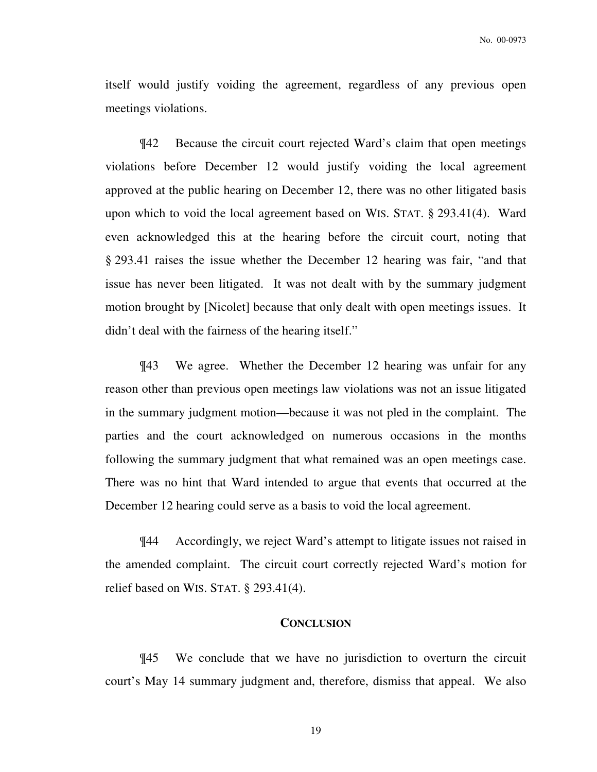itself would justify voiding the agreement, regardless of any previous open meetings violations.

¶42 Because the circuit court rejected Ward's claim that open meetings violations before December 12 would justify voiding the local agreement approved at the public hearing on December 12, there was no other litigated basis upon which to void the local agreement based on WIS. STAT. § 293.41(4). Ward even acknowledged this at the hearing before the circuit court, noting that § 293.41 raises the issue whether the December 12 hearing was fair, "and that issue has never been litigated. It was not dealt with by the summary judgment motion brought by [Nicolet] because that only dealt with open meetings issues. It didn't deal with the fairness of the hearing itself."

¶43 We agree. Whether the December 12 hearing was unfair for any reason other than previous open meetings law violations was not an issue litigated in the summary judgment motion—because it was not pled in the complaint. The parties and the court acknowledged on numerous occasions in the months following the summary judgment that what remained was an open meetings case. There was no hint that Ward intended to argue that events that occurred at the December 12 hearing could serve as a basis to void the local agreement.

¶44 Accordingly, we reject Ward's attempt to litigate issues not raised in the amended complaint. The circuit court correctly rejected Ward's motion for relief based on WIS. STAT. § 293.41(4).

# **CONCLUSION**

¶45 We conclude that we have no jurisdiction to overturn the circuit court's May 14 summary judgment and, therefore, dismiss that appeal. We also

19